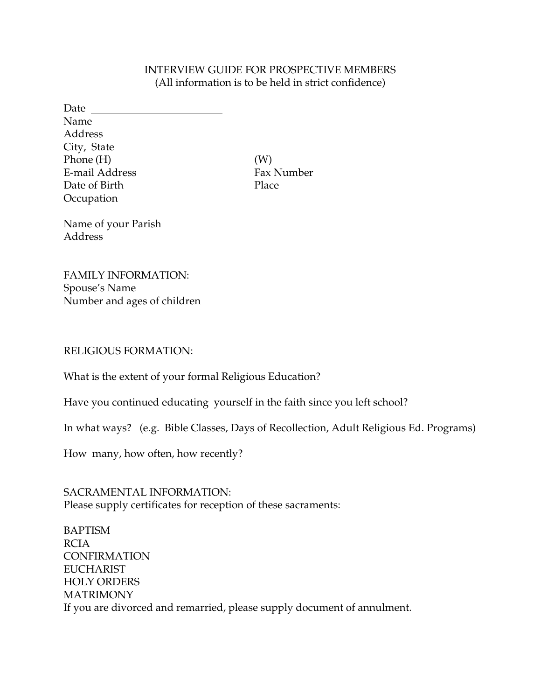## INTERVIEW GUIDE FOR PROSPECTIVE MEMBERS (All information is to be held in strict confidence)

Date Name Address City, State  $Phone(H)$  (W) E-mail Address Fax Number Date of Birth Place **Occupation** 

Name of your Parish Address

FAMILY INFORMATION: Spouse's Name Number and ages of children

### RELIGIOUS FORMATION:

What is the extent of your formal Religious Education?

Have you continued educating yourself in the faith since you left school?

In what ways? (e.g. Bible Classes, Days of Recollection, Adult Religious Ed. Programs)

How many, how often, how recently?

SACRAMENTAL INFORMATION: Please supply certificates for reception of these sacraments:

BAPTISM RCIA CONFIRMATION EUCHARIST HOLY ORDERS **MATRIMONY** If you are divorced and remarried, please supply document of annulment.